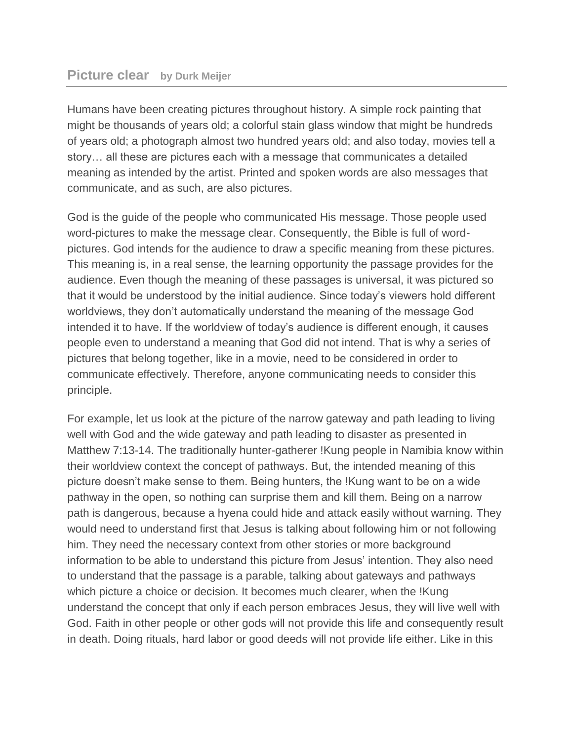## **Picture clear by Durk Meijer**

Humans have been creating pictures throughout history. A simple rock painting that might be thousands of years old; a colorful stain glass window that might be hundreds of years old; a photograph almost two hundred years old; and also today, movies tell a story… all these are pictures each with a message that communicates a detailed meaning as intended by the artist. Printed and spoken words are also messages that communicate, and as such, are also pictures.

God is the guide of the people who communicated His message. Those people used word-pictures to make the message clear. Consequently, the Bible is full of wordpictures. God intends for the audience to draw a specific meaning from these pictures. This meaning is, in a real sense, the learning opportunity the passage provides for the audience. Even though the meaning of these passages is universal, it was pictured so that it would be understood by the initial audience. Since today's viewers hold different worldviews, they don't automatically understand the meaning of the message God intended it to have. If the worldview of today's audience is different enough, it causes people even to understand a meaning that God did not intend. That is why a series of pictures that belong together, like in a movie, need to be considered in order to communicate effectively. Therefore, anyone communicating needs to consider this principle.

For example, let us look at the picture of the narrow gateway and path leading to living well with God and the wide gateway and path leading to disaster as presented in Matthew 7:13-14. The traditionally hunter-gatherer !Kung people in Namibia know within their worldview context the concept of pathways. But, the intended meaning of this picture doesn't make sense to them. Being hunters, the !Kung want to be on a wide pathway in the open, so nothing can surprise them and kill them. Being on a narrow path is dangerous, because a hyena could hide and attack easily without warning. They would need to understand first that Jesus is talking about following him or not following him. They need the necessary context from other stories or more background information to be able to understand this picture from Jesus' intention. They also need to understand that the passage is a parable, talking about gateways and pathways which picture a choice or decision. It becomes much clearer, when the !Kung understand the concept that only if each person embraces Jesus, they will live well with God. Faith in other people or other gods will not provide this life and consequently result in death. Doing rituals, hard labor or good deeds will not provide life either. Like in this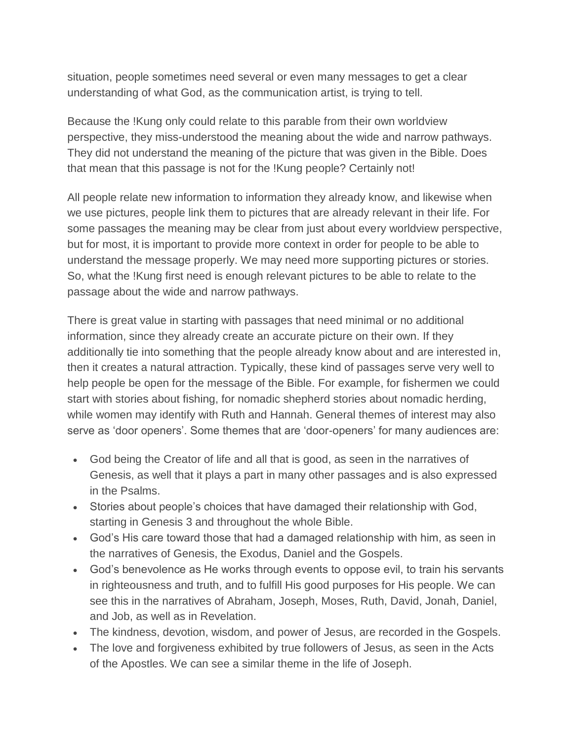situation, people sometimes need several or even many messages to get a clear understanding of what God, as the communication artist, is trying to tell.

Because the !Kung only could relate to this parable from their own worldview perspective, they miss-understood the meaning about the wide and narrow pathways. They did not understand the meaning of the picture that was given in the Bible. Does that mean that this passage is not for the !Kung people? Certainly not!

All people relate new information to information they already know, and likewise when we use pictures, people link them to pictures that are already relevant in their life. For some passages the meaning may be clear from just about every worldview perspective, but for most, it is important to provide more context in order for people to be able to understand the message properly. We may need more supporting pictures or stories. So, what the !Kung first need is enough relevant pictures to be able to relate to the passage about the wide and narrow pathways.

There is great value in starting with passages that need minimal or no additional information, since they already create an accurate picture on their own. If they additionally tie into something that the people already know about and are interested in, then it creates a natural attraction. Typically, these kind of passages serve very well to help people be open for the message of the Bible. For example, for fishermen we could start with stories about fishing, for nomadic shepherd stories about nomadic herding, while women may identify with Ruth and Hannah. General themes of interest may also serve as 'door openers'. Some themes that are 'door-openers' for many audiences are:

- God being the Creator of life and all that is good, as seen in the narratives of Genesis, as well that it plays a part in many other passages and is also expressed in the Psalms.
- Stories about people's choices that have damaged their relationship with God, starting in Genesis 3 and throughout the whole Bible.
- God's His care toward those that had a damaged relationship with him, as seen in the narratives of Genesis, the Exodus, Daniel and the Gospels.
- God's benevolence as He works through events to oppose evil, to train his servants in righteousness and truth, and to fulfill His good purposes for His people. We can see this in the narratives of Abraham, Joseph, Moses, Ruth, David, Jonah, Daniel, and Job, as well as in Revelation.
- The kindness, devotion, wisdom, and power of Jesus, are recorded in the Gospels.
- The love and forgiveness exhibited by true followers of Jesus, as seen in the Acts of the Apostles. We can see a similar theme in the life of Joseph.